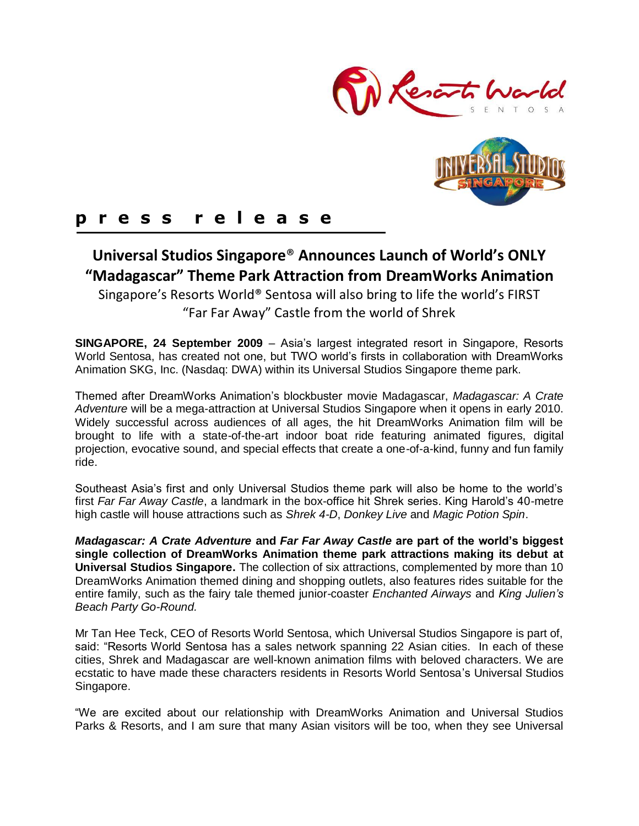



## **p r e s s r e l e a s e**

# **Universal Studios Singapore**® **Announces Launch of World's ONLY "Madagascar" Theme Park Attraction from DreamWorks Animation**

Singapore's Resorts World® Sentosa will also bring to life the world's FIRST "Far Far Away" Castle from the world of Shrek

**SINGAPORE, 24 September 2009** – Asia's largest integrated resort in Singapore, Resorts World Sentosa, has created not one, but TWO world's firsts in collaboration with DreamWorks Animation SKG, Inc. (Nasdaq: DWA) within its Universal Studios Singapore theme park.

Themed after DreamWorks Animation's blockbuster movie Madagascar, *Madagascar: A Crate Adventure* will be a mega-attraction at Universal Studios Singapore when it opens in early 2010. Widely successful across audiences of all ages, the hit DreamWorks Animation film will be brought to life with a state-of-the-art indoor boat ride featuring animated figures, digital projection, evocative sound, and special effects that create a one-of-a-kind, funny and fun family ride.

Southeast Asia's first and only Universal Studios theme park will also be home to the world's first *Far Far Away Castle*, a landmark in the box-office hit Shrek series. King Harold's 40-metre high castle will house attractions such as *Shrek 4-D*, *Donkey Live* and *Magic Potion Spin*.

*Madagascar: A Crate Adventure* **and** *Far Far Away Castle* **are part of the world's biggest single collection of DreamWorks Animation theme park attractions making its debut at Universal Studios Singapore.** The collection of six attractions, complemented by more than 10 DreamWorks Animation themed dining and shopping outlets, also features rides suitable for the entire family, such as the fairy tale themed junior-coaster *Enchanted Airways* and *King Julien's Beach Party Go-Round.* 

Mr Tan Hee Teck, CEO of Resorts World Sentosa, which Universal Studios Singapore is part of, said: "Resorts World Sentosa has a sales network spanning 22 Asian cities. In each of these cities, Shrek and Madagascar are well-known animation films with beloved characters. We are ecstatic to have made these characters residents in Resorts World Sentosa's Universal Studios Singapore.

"We are excited about our relationship with DreamWorks Animation and Universal Studios Parks & Resorts, and I am sure that many Asian visitors will be too, when they see Universal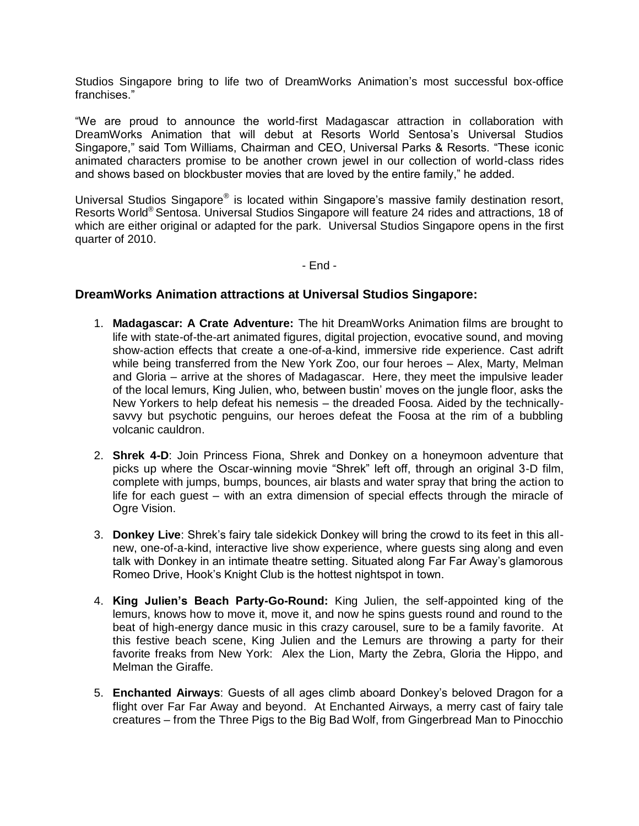Studios Singapore bring to life two of DreamWorks Animation's most successful box-office franchises."

"We are proud to announce the world-first Madagascar attraction in collaboration with DreamWorks Animation that will debut at Resorts World Sentosa's Universal Studios Singapore," said Tom Williams, Chairman and CEO, Universal Parks & Resorts. "These iconic animated characters promise to be another crown jewel in our collection of world-class rides and shows based on blockbuster movies that are loved by the entire family," he added.

Universal Studios Singapore® is located within Singapore's massive family destination resort, Resorts World® Sentosa. Universal Studios Singapore will feature 24 rides and attractions, 18 of which are either original or adapted for the park. Universal Studios Singapore opens in the first quarter of 2010.

- End -

### **DreamWorks Animation attractions at Universal Studios Singapore:**

- 1. **Madagascar: A Crate Adventure:** The hit DreamWorks Animation films are brought to life with state-of-the-art animated figures, digital projection, evocative sound, and moving show-action effects that create a one-of-a-kind, immersive ride experience. Cast adrift while being transferred from the New York Zoo, our four heroes – Alex, Marty, Melman and Gloria – arrive at the shores of Madagascar. Here, they meet the impulsive leader of the local lemurs, King Julien, who, between bustin' moves on the jungle floor, asks the New Yorkers to help defeat his nemesis – the dreaded Foosa. Aided by the technicallysavvy but psychotic penguins, our heroes defeat the Foosa at the rim of a bubbling volcanic cauldron.
- 2. **Shrek 4-D**: Join Princess Fiona, Shrek and Donkey on a honeymoon adventure that picks up where the Oscar-winning movie "Shrek" left off, through an original 3-D film, complete with jumps, bumps, bounces, air blasts and water spray that bring the action to life for each guest – with an extra dimension of special effects through the miracle of Ogre Vision.
- 3. **Donkey Live**: Shrek's fairy tale sidekick Donkey will bring the crowd to its feet in this allnew, one-of-a-kind, interactive live show experience, where guests sing along and even talk with Donkey in an intimate theatre setting. Situated along Far Far Away's glamorous Romeo Drive, Hook's Knight Club is the hottest nightspot in town.
- 4. **King Julien's Beach Party-Go-Round:** King Julien, the self-appointed king of the lemurs, knows how to move it, move it, and now he spins guests round and round to the beat of high-energy dance music in this crazy carousel, sure to be a family favorite. At this festive beach scene, King Julien and the Lemurs are throwing a party for their favorite freaks from New York: Alex the Lion, Marty the Zebra, Gloria the Hippo, and Melman the Giraffe.
- 5. **Enchanted Airways**: Guests of all ages climb aboard Donkey's beloved Dragon for a flight over Far Far Away and beyond. At Enchanted Airways, a merry cast of fairy tale creatures – from the Three Pigs to the Big Bad Wolf, from Gingerbread Man to Pinocchio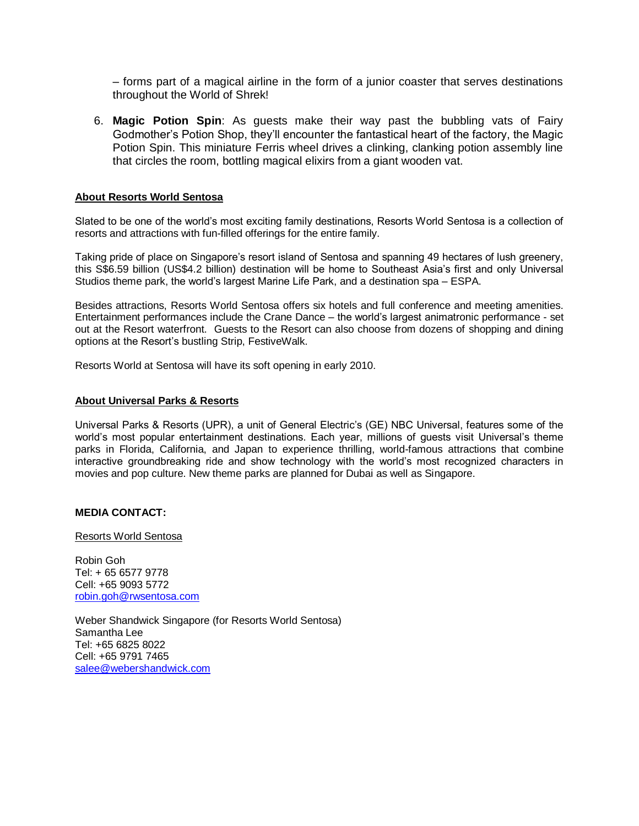– forms part of a magical airline in the form of a junior coaster that serves destinations throughout the World of Shrek!

6. **Magic Potion Spin**: As guests make their way past the bubbling vats of Fairy Godmother's Potion Shop, they'll encounter the fantastical heart of the factory, the Magic Potion Spin. This miniature Ferris wheel drives a clinking, clanking potion assembly line that circles the room, bottling magical elixirs from a giant wooden vat.

#### **About Resorts World Sentosa**

Slated to be one of the world's most exciting family destinations, Resorts World Sentosa is a collection of resorts and attractions with fun-filled offerings for the entire family.

Taking pride of place on Singapore's resort island of Sentosa and spanning 49 hectares of lush greenery, this S\$6.59 billion (US\$4.2 billion) destination will be home to Southeast Asia's first and only Universal Studios theme park, the world's largest Marine Life Park, and a destination spa – ESPA.

Besides attractions, Resorts World Sentosa offers six hotels and full conference and meeting amenities. Entertainment performances include the Crane Dance – the world's largest animatronic performance - set out at the Resort waterfront. Guests to the Resort can also choose from dozens of shopping and dining options at the Resort's bustling Strip, FestiveWalk.

Resorts World at Sentosa will have its soft opening in early 2010.

#### **About Universal Parks & Resorts**

Universal Parks & Resorts (UPR), a unit of General Electric's (GE) NBC Universal, features some of the world's most popular entertainment destinations. Each year, millions of guests visit Universal's theme parks in Florida, California, and Japan to experience thrilling, world-famous attractions that combine interactive groundbreaking ride and show technology with the world's most recognized characters in movies and pop culture. New theme parks are planned for Dubai as well as Singapore.

#### **MEDIA CONTACT:**

Resorts World Sentosa

Robin Goh Tel: + 65 6577 9778 Cell: +65 9093 5772 [robin.goh@rwsentosa.com](mailto:robin.goh@rwsentosa.com)

Weber Shandwick Singapore (for Resorts World Sentosa) Samantha Lee Tel: +65 6825 8022 Cell: +65 9791 7465 [salee@webershandwick.com](mailto:salee@webershandwick.com)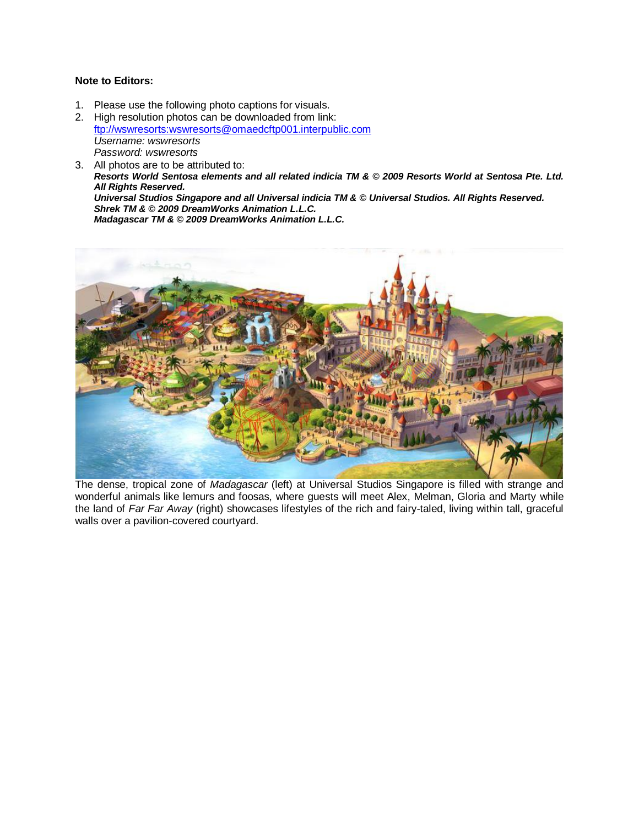#### **Note to Editors:**

1. Please use the following photo captions for visuals.

2. High resolution photos can be downloaded from link: [ftp://wswresorts:wswresorts@omaedcftp001.interpublic.com](ftp://wswresorts:wswresorts@omaedcftp001.interpublic.com/) *Username: wswresorts Password: wswresorts*

3. All photos are to be attributed to: *Resorts World Sentosa elements and all related indicia TM & © 2009 Resorts World at Sentosa Pte. Ltd. All Rights Reserved. Universal Studios Singapore and all Universal indicia TM & © Universal Studios. All Rights Reserved. Shrek TM & © 2009 DreamWorks Animation L.L.C. Madagascar TM & © 2009 DreamWorks Animation L.L.C.*



The dense, tropical zone of *Madagascar* (left) at Universal Studios Singapore is filled with strange and wonderful animals like lemurs and foosas, where guests will meet Alex, Melman, Gloria and Marty while the land of *Far Far Away* (right) showcases lifestyles of the rich and fairy-taled, living within tall, graceful walls over a pavilion-covered courtyard.